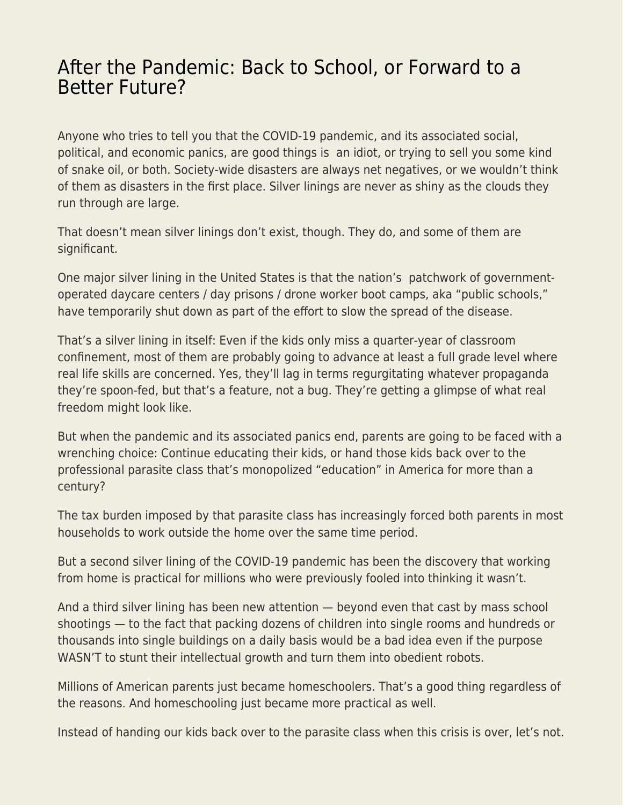## [After the Pandemic: Back to School, or Forward to a](https://everything-voluntary.com/after-the-pandemic-back-to-school-or-forward-to-a-better-future) [Better Future?](https://everything-voluntary.com/after-the-pandemic-back-to-school-or-forward-to-a-better-future)

Anyone who tries to tell you that the COVID-19 pandemic, and its associated social, political, and economic panics, are good things is an idiot, or trying to sell you some kind of snake oil, or both. Society-wide disasters are always net negatives, or we wouldn't think of them as disasters in the first place. Silver linings are never as shiny as the clouds they run through are large.

That doesn't mean silver linings don't exist, though. They do, and some of them are significant.

One major silver lining in the United States is that the nation's patchwork of governmentoperated daycare centers / day prisons / drone worker boot camps, aka "public schools," have temporarily shut down as part of the effort to slow the spread of the disease.

That's a silver lining in itself: Even if the kids only miss a quarter-year of classroom confinement, most of them are probably going to advance at least a full grade level where real life skills are concerned. Yes, they'll lag in terms regurgitating whatever propaganda they're spoon-fed, but that's a feature, not a bug. They're getting a glimpse of what real freedom might look like.

But when the pandemic and its associated panics end, parents are going to be faced with a wrenching choice: Continue educating their kids, or hand those kids back over to the professional parasite class that's monopolized "education" in America for more than a century?

The tax burden imposed by that parasite class has increasingly forced both parents in most households to work outside the home over the same time period.

But a second silver lining of the COVID-19 pandemic has been the discovery that working from home is practical for millions who were previously fooled into thinking it wasn't.

And a third silver lining has been new attention — beyond even that cast by mass school shootings — to the fact that packing dozens of children into single rooms and hundreds or thousands into single buildings on a daily basis would be a bad idea even if the purpose WASN'T to stunt their intellectual growth and turn them into obedient robots.

Millions of American parents just became homeschoolers. That's a good thing regardless of the reasons. And homeschooling just became more practical as well.

Instead of handing our kids back over to the parasite class when this crisis is over, let's not.